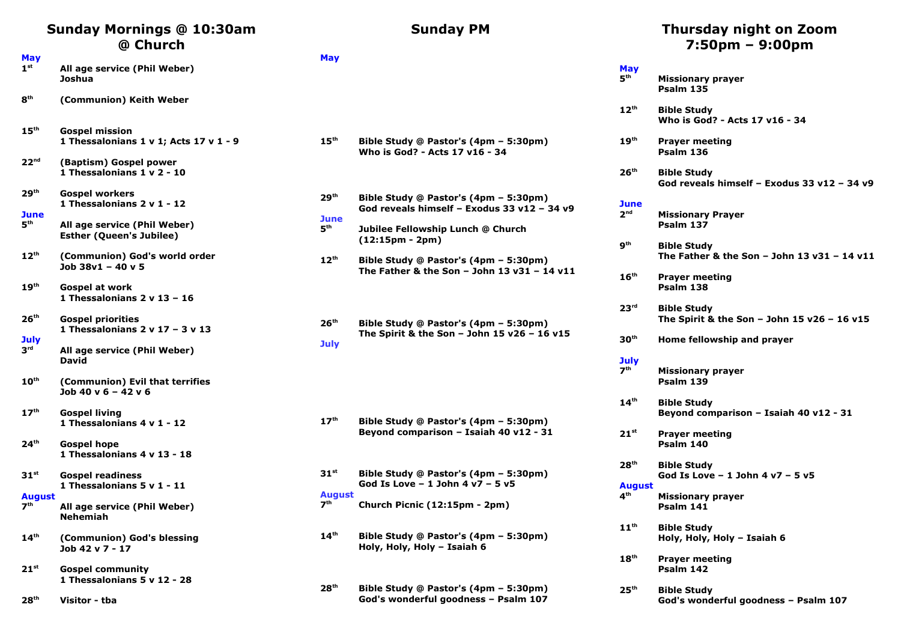## **Sunday Mornings @ 10:30am @ Church**

- **May 1 st All age service (Phil Weber) Joshua**
- **8 th (Communion) Keith Weber**
- **15th Gospel mission 1 Thessalonians 1 v 1; Acts 17 v 1 - 9**
- **22nd (Baptism) Gospel power 1 Thessalonians 1 v 2 - 10**
- **29th Gospel workers 1 Thessalonians 2 v 1 - 12**
- **June 5 th**
- **All age service (Phil Weber) Esther (Queen's Jubilee)**
- **12th (Communion) God's world order Job 38v1 – 40 v 5**
- **19th Gospel at work 1 Thessalonians 2 v 13 – 16**
- **26th Gospel priorities 1 Thessalonians 2 v 17 – 3 v 13**
- **July**
- **3 rd All age service (Phil Weber) David**
- **10th (Communion) Evil that terrifies Job 40 v 6 – 42 v 6**
- **17th Gospel living 1 Thessalonians 4 v 1 - 12**
- **24th Gospel hope 1 Thessalonians 4 v 13 - 18**
- **31st Gospel readiness 1 Thessalonians 5 v 1 - 11**

#### **August**

- **7 th All age service (Phil Weber) Nehemiah**
- **14th (Communion) God's blessing Job 42 v 7 - 17**
- **21st Gospel community 1 Thessalonians 5 v 12 - 28**
- **28th Visitor tba**

#### **Sunday PM**

#### **May**

- **15th Bible Study @ Pastor's (4pm 5:30pm) Who is God? - Acts 17 v16 - 34**
- **29th Bible Study @ Pastor's (4pm 5:30pm) God reveals himself – Exodus 33 v12 – 34 v9 June**
- **5 th Jubilee Fellowship Lunch @ Church (12:15pm - 2pm)**
- **12th Bible Study @ Pastor's (4pm 5:30pm) The Father & the Son – John 13 v31 – 14 v11**

**26th Bible Study @ Pastor's (4pm – 5:30pm) The Spirit & the Son – John 15 v26 – 16 v15 July**

- **17th Bible Study @ Pastor's (4pm 5:30pm) Beyond comparison – Isaiah 40 v12 - 31**
- **31st Bible Study @ Pastor's (4pm 5:30pm) God Is Love – 1 John 4 v7 – 5 v5 August 7th th Church Picnic (12:15pm - 2pm)**
- **14th Bible Study @ Pastor's (4pm 5:30pm) Holy, Holy, Holy – Isaiah 6**
- **28th Bible Study @ Pastor's (4pm 5:30pm) God's wonderful goodness – Psalm 107**

#### **Thursday night on Zoom 7:50pm – 9:00pm**

| May<br>5 <sup>th</sup>    | <b>Missionary prayer</b><br>Psalm 135                               |
|---------------------------|---------------------------------------------------------------------|
| 12 <sup>th</sup>          | <b>Bible Study</b><br>Who is God? - Acts 17 v16 - 34                |
| 19 <sup>th</sup>          | <b>Prayer meeting</b><br>Psalm 136                                  |
| 26 <sup>th</sup>          | <b>Bible Study</b><br>God reveals himself - Exodus 33 v12 - 34 v9   |
| June<br>2 <sup>nd</sup>   | <b>Missionary Prayer</b><br>Psalm 137                               |
| 9 <sup>th</sup>           | <b>Bible Study</b><br>The Father & the Son - John 13 $v31 - 14 v11$ |
| $16^{\text{th}}$          | <b>Prayer meeting</b><br>Psalm 138                                  |
| 23 <sup>rd</sup>          | <b>Bible Study</b><br>The Spirit & the Son – John 15 $v26 - 16 v15$ |
| 30 <sup>th</sup>          | Home fellowship and prayer                                          |
| July<br>7 <sup>th</sup>   | <b>Missionary prayer</b><br>Psalm 139                               |
| 14 <sup>th</sup>          | <b>Bible Study</b><br>Beyond comparison – Isaiah 40 v12 - 31        |
| $21^{st}$                 | <b>Prayer meeting</b><br>Psalm 140                                  |
| 28 <sup>th</sup>          | <b>Bible Study</b><br>God Is Love - 1 John 4 v7 - 5 v5              |
| August<br>4 <sup>th</sup> | <b>Missionary prayer</b><br>Psalm 141                               |
| 11 <sup>th</sup>          | <b>Bible Study</b><br>Holy, Holy, Holy - Isaiah 6                   |
| 18 <sup>th</sup>          | <b>Prayer meeting</b><br>Psalm 142                                  |
| 25 <sup>th</sup>          | <b>Bible Study</b>                                                  |

**God's wonderful goodness – Psalm 107**